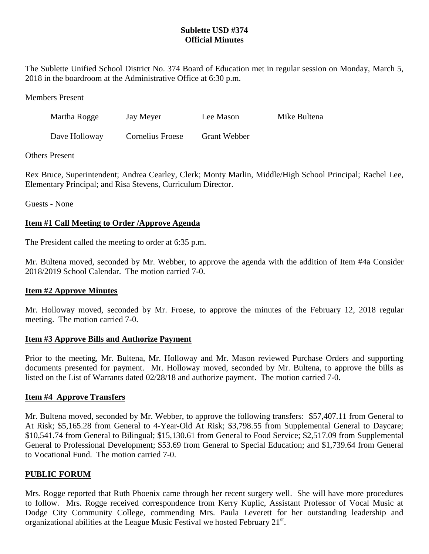## **Sublette USD #374 Official Minutes**

The Sublette Unified School District No. 374 Board of Education met in regular session on Monday, March 5, 2018 in the boardroom at the Administrative Office at 6:30 p.m.

Members Present

| Martha Rogge  | Jay Meyer        | Lee Mason           | Mike Bultena |
|---------------|------------------|---------------------|--------------|
| Dave Holloway | Cornelius Froese | <b>Grant Webber</b> |              |

### Others Present

Rex Bruce, Superintendent; Andrea Cearley, Clerk; Monty Marlin, Middle/High School Principal; Rachel Lee, Elementary Principal; and Risa Stevens, Curriculum Director.

Guests - None

### **Item #1 Call Meeting to Order /Approve Agenda**

The President called the meeting to order at 6:35 p.m.

Mr. Bultena moved, seconded by Mr. Webber, to approve the agenda with the addition of Item #4a Consider 2018/2019 School Calendar. The motion carried 7-0.

### **Item #2 Approve Minutes**

Mr. Holloway moved, seconded by Mr. Froese, to approve the minutes of the February 12, 2018 regular meeting. The motion carried 7-0.

#### **Item #3 Approve Bills and Authorize Payment**

Prior to the meeting, Mr. Bultena, Mr. Holloway and Mr. Mason reviewed Purchase Orders and supporting documents presented for payment. Mr. Holloway moved, seconded by Mr. Bultena, to approve the bills as listed on the List of Warrants dated 02/28/18 and authorize payment. The motion carried 7-0.

### **Item #4 Approve Transfers**

Mr. Bultena moved, seconded by Mr. Webber, to approve the following transfers: \$57,407.11 from General to At Risk; \$5,165.28 from General to 4-Year-Old At Risk; \$3,798.55 from Supplemental General to Daycare; \$10,541.74 from General to Bilingual; \$15,130.61 from General to Food Service; \$2,517.09 from Supplemental General to Professional Development; \$53.69 from General to Special Education; and \$1,739.64 from General to Vocational Fund. The motion carried 7-0.

### **PUBLIC FORUM**

Mrs. Rogge reported that Ruth Phoenix came through her recent surgery well. She will have more procedures to follow. Mrs. Rogge received correspondence from Kerry Kuplic, Assistant Professor of Vocal Music at Dodge City Community College, commending Mrs. Paula Leverett for her outstanding leadership and organizational abilities at the League Music Festival we hosted February 21<sup>st</sup>.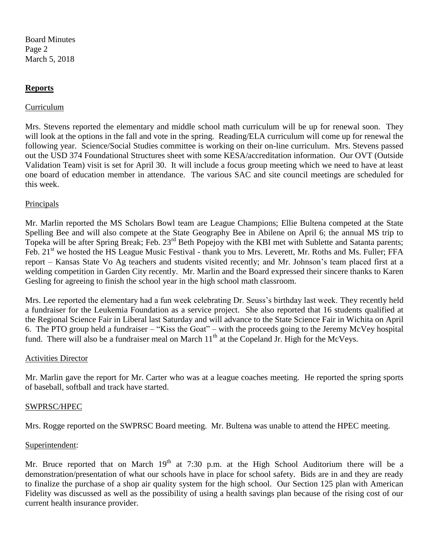Board Minutes Page 2 March 5, 2018

#### **Reports**

#### Curriculum

Mrs. Stevens reported the elementary and middle school math curriculum will be up for renewal soon. They will look at the options in the fall and vote in the spring. Reading/ELA curriculum will come up for renewal the following year. Science/Social Studies committee is working on their on-line curriculum. Mrs. Stevens passed out the USD 374 Foundational Structures sheet with some KESA/accreditation information. Our OVT (Outside Validation Team) visit is set for April 30. It will include a focus group meeting which we need to have at least one board of education member in attendance. The various SAC and site council meetings are scheduled for this week.

#### **Principals**

Mr. Marlin reported the MS Scholars Bowl team are League Champions; Ellie Bultena competed at the State Spelling Bee and will also compete at the State Geography Bee in Abilene on April 6; the annual MS trip to Topeka will be after Spring Break; Feb. 23<sup>rd</sup> Beth Popejoy with the KBI met with Sublette and Satanta parents; Feb. 21<sup>st</sup> we hosted the HS League Music Festival - thank you to Mrs. Leverett, Mr. Roths and Ms. Fuller; FFA report – Kansas State Vo Ag teachers and students visited recently; and Mr. Johnson's team placed first at a welding competition in Garden City recently. Mr. Marlin and the Board expressed their sincere thanks to Karen Gesling for agreeing to finish the school year in the high school math classroom.

Mrs. Lee reported the elementary had a fun week celebrating Dr. Seuss's birthday last week. They recently held a fundraiser for the Leukemia Foundation as a service project. She also reported that 16 students qualified at the Regional Science Fair in Liberal last Saturday and will advance to the State Science Fair in Wichita on April 6. The PTO group held a fundraiser – "Kiss the Goat" – with the proceeds going to the Jeremy McVey hospital fund. There will also be a fundraiser meal on March  $11<sup>th</sup>$  at the Copeland Jr. High for the McVevs.

#### Activities Director

Mr. Marlin gave the report for Mr. Carter who was at a league coaches meeting. He reported the spring sports of baseball, softball and track have started.

#### SWPRSC/HPEC

Mrs. Rogge reported on the SWPRSC Board meeting. Mr. Bultena was unable to attend the HPEC meeting.

#### Superintendent:

Mr. Bruce reported that on March  $19<sup>th</sup>$  at 7:30 p.m. at the High School Auditorium there will be a demonstration/presentation of what our schools have in place for school safety. Bids are in and they are ready to finalize the purchase of a shop air quality system for the high school. Our Section 125 plan with American Fidelity was discussed as well as the possibility of using a health savings plan because of the rising cost of our current health insurance provider.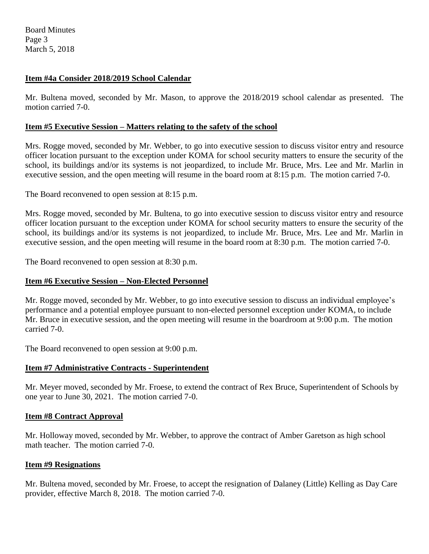Board Minutes Page 3 March 5, 2018

### **Item #4a Consider 2018/2019 School Calendar**

Mr. Bultena moved, seconded by Mr. Mason, to approve the 2018/2019 school calendar as presented. The motion carried 7-0.

### **Item #5 Executive Session – Matters relating to the safety of the school**

Mrs. Rogge moved, seconded by Mr. Webber, to go into executive session to discuss visitor entry and resource officer location pursuant to the exception under KOMA for school security matters to ensure the security of the school, its buildings and/or its systems is not jeopardized, to include Mr. Bruce, Mrs. Lee and Mr. Marlin in executive session, and the open meeting will resume in the board room at 8:15 p.m. The motion carried 7-0.

The Board reconvened to open session at 8:15 p.m.

Mrs. Rogge moved, seconded by Mr. Bultena, to go into executive session to discuss visitor entry and resource officer location pursuant to the exception under KOMA for school security matters to ensure the security of the school, its buildings and/or its systems is not jeopardized, to include Mr. Bruce, Mrs. Lee and Mr. Marlin in executive session, and the open meeting will resume in the board room at 8:30 p.m. The motion carried 7-0.

The Board reconvened to open session at 8:30 p.m.

## **Item #6 Executive Session – Non-Elected Personnel**

Mr. Rogge moved, seconded by Mr. Webber, to go into executive session to discuss an individual employee's performance and a potential employee pursuant to non-elected personnel exception under KOMA, to include Mr. Bruce in executive session, and the open meeting will resume in the boardroom at 9:00 p.m. The motion carried 7-0.

The Board reconvened to open session at 9:00 p.m.

### **Item #7 Administrative Contracts - Superintendent**

Mr. Meyer moved, seconded by Mr. Froese, to extend the contract of Rex Bruce, Superintendent of Schools by one year to June 30, 2021. The motion carried 7-0.

### **Item #8 Contract Approval**

Mr. Holloway moved, seconded by Mr. Webber, to approve the contract of Amber Garetson as high school math teacher. The motion carried 7-0.

### **Item #9 Resignations**

Mr. Bultena moved, seconded by Mr. Froese, to accept the resignation of Dalaney (Little) Kelling as Day Care provider, effective March 8, 2018. The motion carried 7-0.